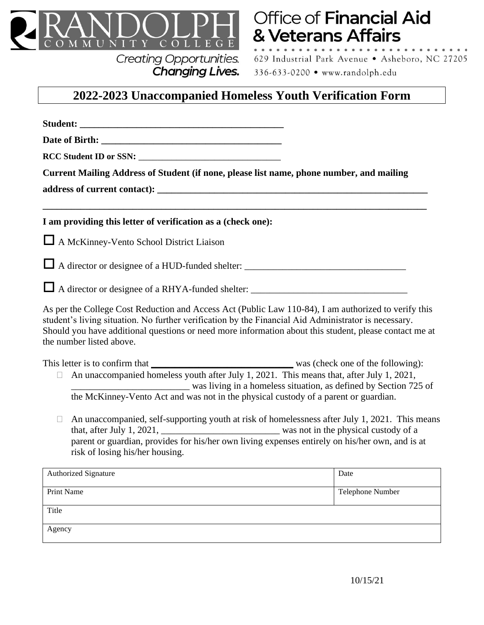

## **Creating Opportunities.** Changing Lives.

## Office of Financial Aid & Veterans Affairs

629 Industrial Park Avenue · Asheboro, NC 27205 336-633-0200 · www.randolph.edu

## **2022-2023 Unaccompanied Homeless Youth Verification Form**

| Current Mailing Address of Student (if none, please list name, phone number, and mailing                                                                                                                                                                                                                                                           |                  |
|----------------------------------------------------------------------------------------------------------------------------------------------------------------------------------------------------------------------------------------------------------------------------------------------------------------------------------------------------|------------------|
|                                                                                                                                                                                                                                                                                                                                                    |                  |
| I am providing this letter of verification as a (check one):                                                                                                                                                                                                                                                                                       |                  |
| A McKinney-Vento School District Liaison                                                                                                                                                                                                                                                                                                           |                  |
|                                                                                                                                                                                                                                                                                                                                                    |                  |
|                                                                                                                                                                                                                                                                                                                                                    |                  |
| As per the College Cost Reduction and Access Act (Public Law 110-84), I am authorized to verify this<br>student's living situation. No further verification by the Financial Aid Administrator is necessary.<br>Should you have additional questions or need more information about this student, please contact me at<br>the number listed above. |                  |
| An unaccompanied homeless youth after July 1, 2021. This means that, after July 1, 2021,<br>was living in a homeless situation, as defined by Section 725 of<br>the McKinney-Vento Act and was not in the physical custody of a parent or guardian.                                                                                                |                  |
| An unaccompanied, self-supporting youth at risk of homelessness after July 1, 2021. This means<br>$\Box$<br>parent or guardian, provides for his/her own living expenses entirely on his/her own, and is at<br>risk of losing his/her housing.                                                                                                     |                  |
| <b>Authorized Signature</b>                                                                                                                                                                                                                                                                                                                        | Date             |
| Print Name                                                                                                                                                                                                                                                                                                                                         | Telephone Number |
| Title                                                                                                                                                                                                                                                                                                                                              |                  |
| Agency                                                                                                                                                                                                                                                                                                                                             |                  |